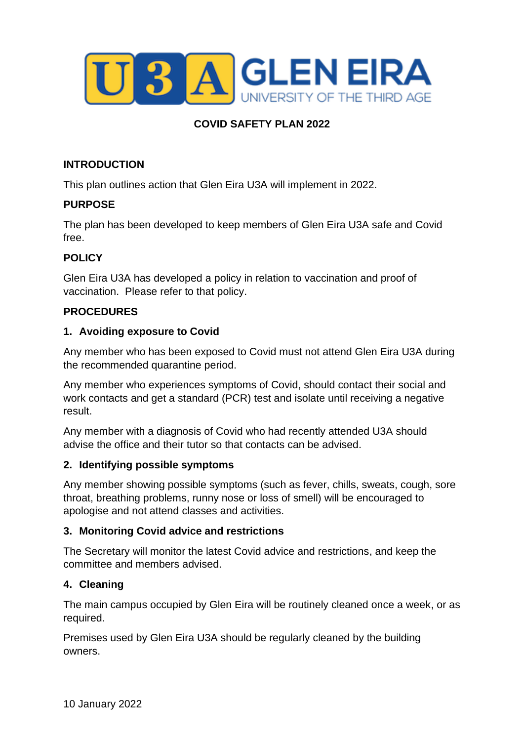

# **COVID SAFETY PLAN 2022**

### **INTRODUCTION**

This plan outlines action that Glen Eira U3A will implement in 2022.

### **PURPOSE**

The plan has been developed to keep members of Glen Eira U3A safe and Covid free.

### **POLICY**

Glen Eira U3A has developed a policy in relation to vaccination and proof of vaccination. Please refer to that policy.

### **PROCEDURES**

### **1. Avoiding exposure to Covid**

Any member who has been exposed to Covid must not attend Glen Eira U3A during the recommended quarantine period.

Any member who experiences symptoms of Covid, should contact their social and work contacts and get a standard (PCR) test and isolate until receiving a negative result.

Any member with a diagnosis of Covid who had recently attended U3A should advise the office and their tutor so that contacts can be advised.

#### **2. Identifying possible symptoms**

Any member showing possible symptoms (such as fever, chills, sweats, cough, sore throat, breathing problems, runny nose or loss of smell) will be encouraged to apologise and not attend classes and activities.

### **3. Monitoring Covid advice and restrictions**

The Secretary will monitor the latest Covid advice and restrictions, and keep the committee and members advised.

#### **4. Cleaning**

The main campus occupied by Glen Eira will be routinely cleaned once a week, or as required.

Premises used by Glen Eira U3A should be regularly cleaned by the building owners.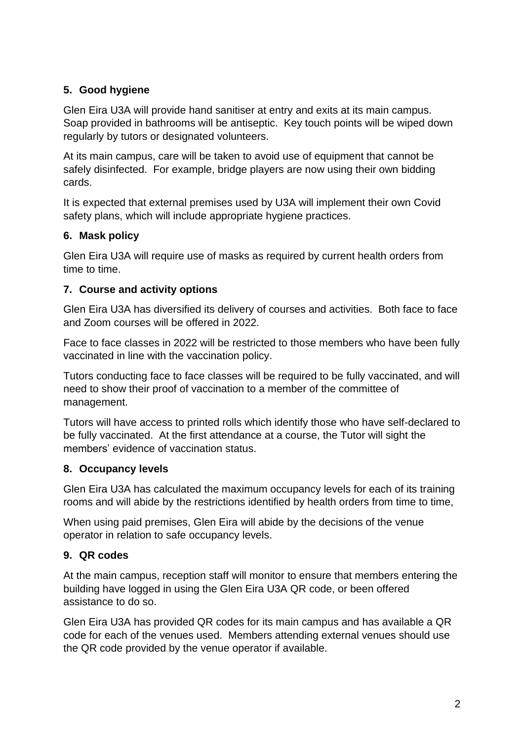# **5. Good hygiene**

Glen Eira U3A will provide hand sanitiser at entry and exits at its main campus. Soap provided in bathrooms will be antiseptic. Key touch points will be wiped down regularly by tutors or designated volunteers.

At its main campus, care will be taken to avoid use of equipment that cannot be safely disinfected. For example, bridge players are now using their own bidding cards.

It is expected that external premises used by U3A will implement their own Covid safety plans, which will include appropriate hygiene practices.

## **6. Mask policy**

Glen Eira U3A will require use of masks as required by current health orders from time to time.

# **7. Course and activity options**

Glen Eira U3A has diversified its delivery of courses and activities. Both face to face and Zoom courses will be offered in 2022.

Face to face classes in 2022 will be restricted to those members who have been fully vaccinated in line with the vaccination policy.

Tutors conducting face to face classes will be required to be fully vaccinated, and will need to show their proof of vaccination to a member of the committee of management.

Tutors will have access to printed rolls which identify those who have self-declared to be fully vaccinated. At the first attendance at a course, the Tutor will sight the members' evidence of vaccination status.

# **8. Occupancy levels**

Glen Eira U3A has calculated the maximum occupancy levels for each of its training rooms and will abide by the restrictions identified by health orders from time to time,

When using paid premises, Glen Eira will abide by the decisions of the venue operator in relation to safe occupancy levels.

# **9. QR codes**

At the main campus, reception staff will monitor to ensure that members entering the building have logged in using the Glen Eira U3A QR code, or been offered assistance to do so.

Glen Eira U3A has provided QR codes for its main campus and has available a QR code for each of the venues used. Members attending external venues should use the QR code provided by the venue operator if available.